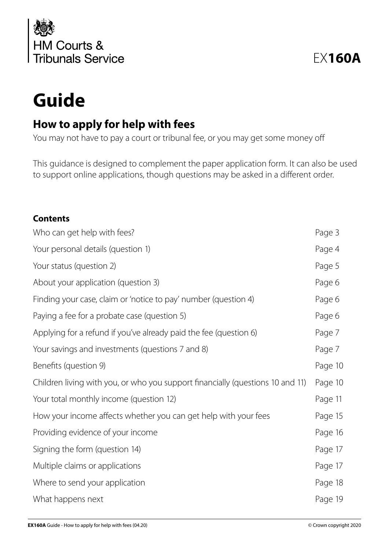

# **Guide**

# **How to apply for help with fees**

You may not have to pay a court or tribunal fee, or you may get some money off

This guidance is designed to complement the paper application form. It can also be used to support online applications, though questions may be asked in a different order.

#### **Contents**

| Who can get help with fees?                                                    | Page 3  |
|--------------------------------------------------------------------------------|---------|
| Your personal details (question 1)                                             | Page 4  |
| Your status (question 2)                                                       | Page 5  |
| About your application (question 3)                                            | Page 6  |
| Finding your case, claim or 'notice to pay' number (question 4)                | Page 6  |
| Paying a fee for a probate case (question 5)                                   | Page 6  |
| Applying for a refund if you've already paid the fee (question 6)              | Page 7  |
| Your savings and investments (questions 7 and 8)                               | Page 7  |
| Benefits (question 9)                                                          | Page 10 |
| Children living with you, or who you support financially (questions 10 and 11) | Page 10 |
| Your total monthly income (question 12)                                        | Page 11 |
| How your income affects whether you can get help with your fees                | Page 15 |
| Providing evidence of your income                                              | Page 16 |
| Signing the form (question 14)                                                 | Page 17 |
| Multiple claims or applications                                                | Page 17 |
| Where to send your application                                                 | Page 18 |
| What happens next                                                              | Page 19 |
|                                                                                |         |

EX**160A**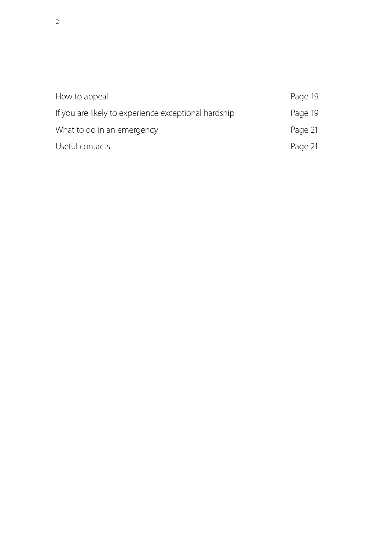| How to appeal                                        | Page 19 |
|------------------------------------------------------|---------|
| If you are likely to experience exceptional hardship | Page 19 |
| What to do in an emergency                           | Page 21 |
| Useful contacts                                      | Page 21 |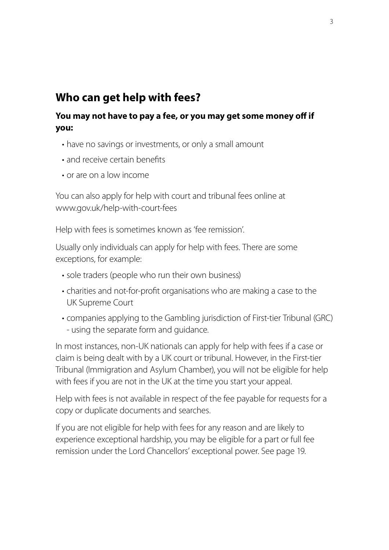### **Who can get help with fees?**

#### **You may not have to pay a fee, or you may get some money off if you:**

- have no savings or investments, or only a small amount
- and receive certain benefits
- or are on a low income

You can also apply for help with court and tribunal fees online at www.gov.uk/help-with-court-fees

Help with fees is sometimes known as 'fee remission'.

Usually only individuals can apply for help with fees. There are some exceptions, for example:

- sole traders (people who run their own business)
- charities and not-for-profit organisations who are making a case to the UK Supreme Court
- companies applying to the Gambling jurisdiction of First-tier Tribunal (GRC) - using the separate form and guidance.

In most instances, non-UK nationals can apply for help with fees if a case or claim is being dealt with by a UK court or tribunal. However, in the First-tier Tribunal (Immigration and Asylum Chamber), you will not be eligible for help with fees if you are not in the UK at the time you start your appeal.

Help with fees is not available in respect of the fee payable for requests for a copy or duplicate documents and searches.

If you are not eligible for help with fees for any reason and are likely to experience exceptional hardship, you may be eligible for a part or full fee remission under the Lord Chancellors' exceptional power. See page 19.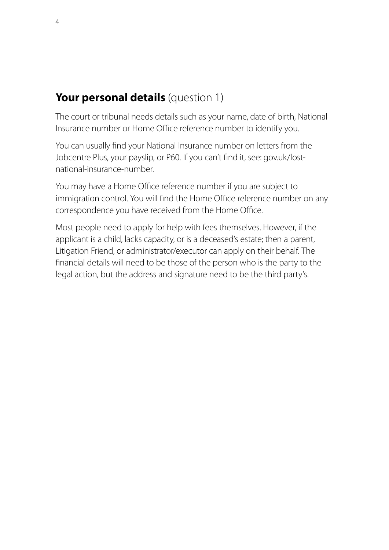# **Your personal details** (question 1)

The court or tribunal needs details such as your name, date of birth, National Insurance number or Home Office reference number to identify you.

You can usually find your National Insurance number on letters from the Jobcentre Plus, your payslip, or P60. If you can't find it, see: gov.uk/lostnational-insurance-number.

You may have a Home Office reference number if you are subject to immigration control. You will find the Home Office reference number on any correspondence you have received from the Home Office.

Most people need to apply for help with fees themselves. However, if the applicant is a child, lacks capacity, or is a deceased's estate; then a parent, Litigation Friend, or administrator/executor can apply on their behalf. The financial details will need to be those of the person who is the party to the legal action, but the address and signature need to be the third party's.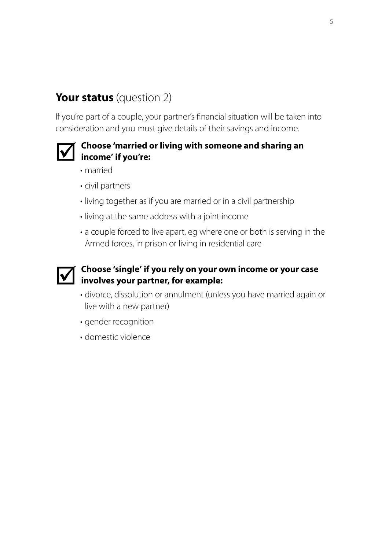# **Your status** (question 2)

If you're part of a couple, your partner's financial situation will be taken into consideration and you must give details of their savings and income.



#### **Choose 'married or living with someone and sharing an income' if you're:**

- married
- civil partners
- living together as if you are married or in a civil partnership
- living at the same address with a joint income
- a couple forced to live apart, eg where one or both is serving in the Armed forces, in prison or living in residential care



# **Choose 'single' if you rely on your own income or your case involves your partner, for example: involves your partner, for example:**

- divorce, dissolution or annulment (unless you have married again or live with a new partner)
- gender recognition
- domestic violence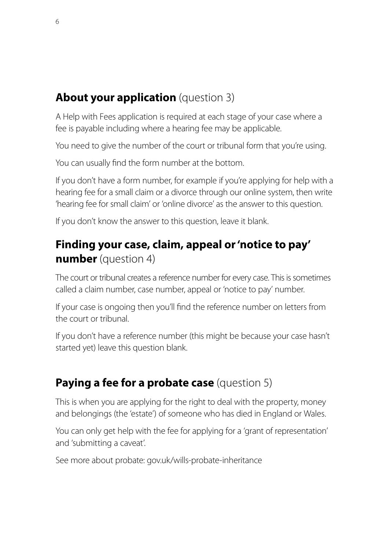# **About your application** (question 3)

A Help with Fees application is required at each stage of your case where a fee is payable including where a hearing fee may be applicable.

You need to give the number of the court or tribunal form that you're using.

You can usually find the form number at the bottom.

If you don't have a form number, for example if you're applying for help with a hearing fee for a small claim or a divorce through our online system, then write 'hearing fee for small claim' or 'online divorce' as the answer to this question.

If you don't know the answer to this question, leave it blank.

# **Finding your case, claim, appeal or 'notice to pay' number** (question 4)

The court or tribunal creates a reference number for every case. This is sometimes called a claim number, case number, appeal or 'notice to pay' number.

If your case is ongoing then you'll find the reference number on letters from the court or tribunal.

If you don't have a reference number (this might be because your case hasn't started yet) leave this question blank.

# **Paying a fee for a probate case** (question 5)

This is when you are applying for the right to deal with the property, money and belongings (the 'estate') of someone who has died in England or Wales.

You can only get help with the fee for applying for a 'grant of representation' and 'submitting a caveat'.

See more about probate: gov.uk/wills-probate-inheritance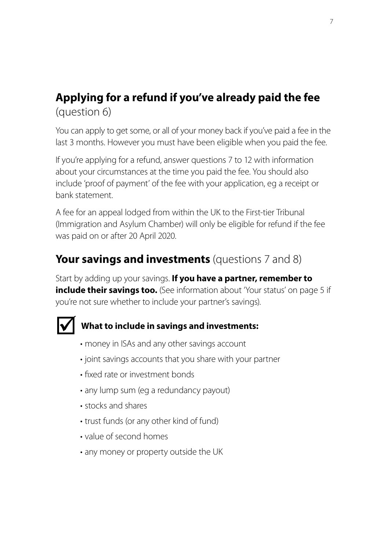# **Applying for a refund if you've already paid the fee**  (question 6)

You can apply to get some, or all of your money back if you've paid a fee in the last 3 months. However you must have been eligible when you paid the fee.

If you're applying for a refund, answer questions 7 to 12 with information about your circumstances at the time you paid the fee. You should also include 'proof of payment' of the fee with your application, eg a receipt or bank statement.

A fee for an appeal lodged from within the UK to the First-tier Tribunal (Immigration and Asylum Chamber) will only be eligible for refund if the fee was paid on or after 20 April 2020.

# **Your savings and investments** (questions 7 and 8)

Start by adding up your savings. **If you have a partner, remember to include their savings too.** (See information about 'Your status' on page 5 if you're not sure whether to include your partner's savings).



### **What to include in savings and investments:**

- money in ISAs and any other savings account
- joint savings accounts that you share with your partner
- fixed rate or investment bonds
- any lump sum (eg a redundancy payout)
- stocks and shares
- trust funds (or any other kind of fund)
- value of second homes
- any money or property outside the UK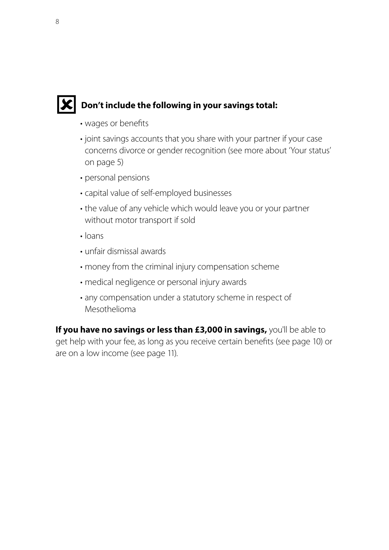

### **IC** Don't include the following in your savings total:

- wages or benefits
- joint savings accounts that you share with your partner if your case concerns divorce or gender recognition (see more about 'Your status' on page 5)
- personal pensions
- capital value of self-employed businesses
- the value of any vehicle which would leave you or your partner without motor transport if sold
- loans
- unfair dismissal awards
- money from the criminal injury compensation scheme
- medical negligence or personal injury awards
- any compensation under a statutory scheme in respect of Mesothelioma

**If you have no savings or less than £3,000 in savings, you'll be able to** get help with your fee, as long as you receive certain benefits (see page 10) or are on a low income (see page 11).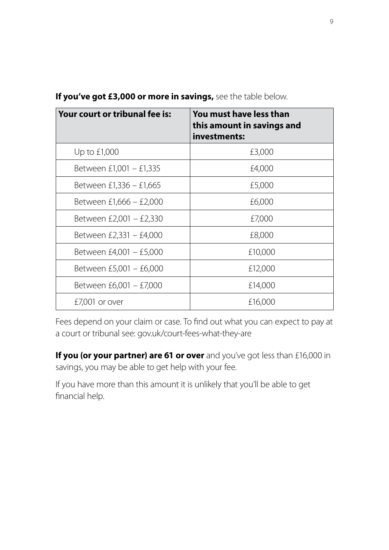| Your court or tribunal fee is: | You must have less than<br>this amount in savings and<br>investments: |
|--------------------------------|-----------------------------------------------------------------------|
| Up to £1,000                   | £3,000                                                                |
| Between £1,001 - £1,335        | £4,000                                                                |
| Between £1,336 - £1,665        | £5,000                                                                |
| Between £1,666 - £2,000        | £6,000                                                                |
| Between £2,001 - £2,330        | £7,000                                                                |
| Between £2,331 - £4,000        | £8,000                                                                |
| Between £4,001 - £5,000        | £10,000                                                               |
| Between £5,001 - £6,000        | £12,000                                                               |
| Between £6,001 - £7,000        | £14,000                                                               |
| $£7,001$ or over               | £16,000                                                               |

**If you've got £3,000 or more in savings,** see the table below.

Fees depend on your claim or case. To find out what you can expect to pay at a court or tribunal see: gov.uk/court-fees-what-they-are

**If you (or your partner) are 61 or over** and you've got less than £16,000 in savings, you may be able to get help with your fee.

If you have more than this amount it is unlikely that you'll be able to get financial help.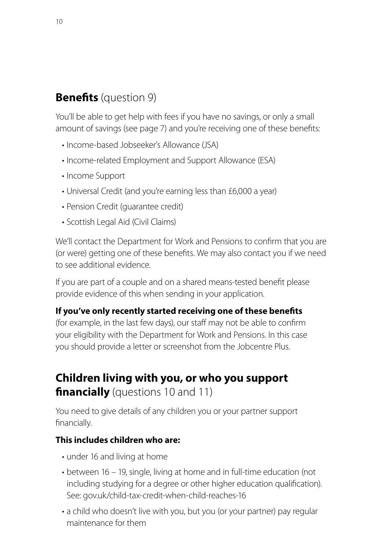# **Benefits** (question 9)

You'll be able to get help with fees if you have no savings, or only a small amount of savings (see page 7) and you're receiving one of these benefits:

- Income-based Jobseeker's Allowance (JSA)
- Income-related Employment and Support Allowance (ESA)
- Income Support
- Universal Credit (and you're earning less than £6,000 a year)
- Pension Credit (guarantee credit)
- Scottish Legal Aid (Civil Claims)

We'll contact the Department for Work and Pensions to confirm that you are (or were) getting one of these benefits. We may also contact you if we need to see additional evidence.

If you are part of a couple and on a shared means-tested benefit please provide evidence of this when sending in your application.

#### **If you've only recently started receiving one of these benefits**

(for example, in the last few days), our staff may not be able to confirm your eligibility with the Department for Work and Pensions. In this case you should provide a letter or screenshot from the Jobcentre Plus.

# **Children living with you, or who you support financially** (questions 10 and 11)

You need to give details of any children you or your partner support financially.

#### **This includes children who are:**

- under 16 and living at home
- between 16 19, single, living at home and in full-time education (not including studying for a degree or other higher education qualification). See: gov.uk/child-tax-credit-when-child-reaches-16
- a child who doesn't live with you, but you (or your partner) pay regular maintenance for them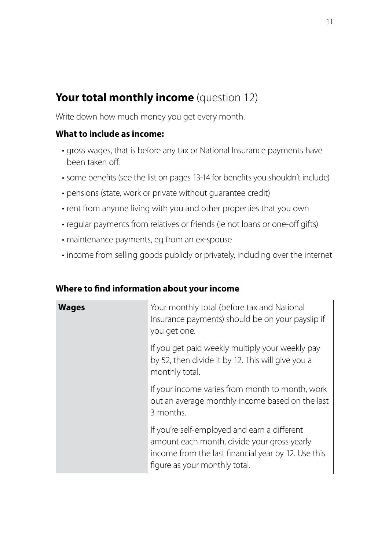# **Your total monthly income** (question 12)

Write down how much money you get every month.

#### **What to include as income:**

- gross wages, that is before any tax or National Insurance payments have been taken off.
- some benefits (see the list on pages 13-14 for benefits you shouldn't include)
- pensions (state, work or private without guarantee credit)
- rent from anyone living with you and other properties that you own
- regular payments from relatives or friends (ie not loans or one-off gifts)
- maintenance payments, eg from an ex-spouse
- income from selling goods publicly or privately, including over the internet

| <b>Wages</b> | Your monthly total (before tax and National<br>Insurance payments) should be on your payslip if<br>you get one.                                                                     |
|--------------|-------------------------------------------------------------------------------------------------------------------------------------------------------------------------------------|
|              | If you get paid weekly multiply your weekly pay<br>by 52, then divide it by 12. This will give you a<br>monthly total.                                                              |
|              | If your income varies from month to month, work<br>out an average monthly income based on the last<br>3 months.                                                                     |
|              | If you're self-employed and earn a different<br>amount each month, divide your gross yearly<br>income from the last financial year by 12. Use this<br>figure as your monthly total. |

#### **Where to find information about your income**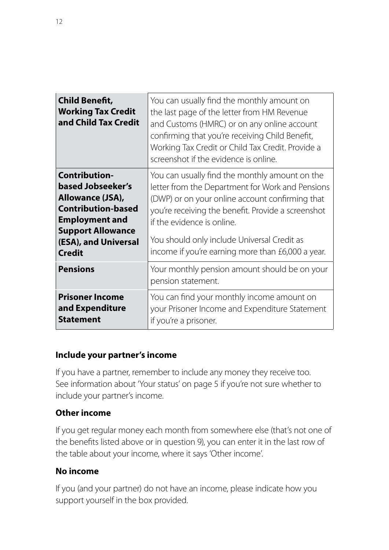| <b>Child Benefit,</b><br><b>Working Tax Credit</b><br>and Child Tax Credit                                                                                                               | You can usually find the monthly amount on<br>the last page of the letter from HM Revenue<br>and Customs (HMRC) or on any online account<br>confirming that you're receiving Child Benefit,<br>Working Tax Credit or Child Tax Credit. Provide a<br>screenshot if the evidence is online.                                                     |
|------------------------------------------------------------------------------------------------------------------------------------------------------------------------------------------|-----------------------------------------------------------------------------------------------------------------------------------------------------------------------------------------------------------------------------------------------------------------------------------------------------------------------------------------------|
| <b>Contribution-</b><br>based Jobseeker's<br>Allowance (JSA),<br><b>Contribution-based</b><br><b>Employment and</b><br><b>Support Allowance</b><br>(ESA), and Universal<br><b>Credit</b> | You can usually find the monthly amount on the<br>letter from the Department for Work and Pensions<br>(DWP) or on your online account confirming that<br>you're receiving the benefit. Provide a screenshot<br>if the evidence is online.<br>You should only include Universal Credit as<br>income if you're earning more than £6,000 a year. |
| <b>Pensions</b>                                                                                                                                                                          | Your monthly pension amount should be on your<br>pension statement.                                                                                                                                                                                                                                                                           |
| <b>Prisoner Income</b><br>and Expenditure<br><b>Statement</b>                                                                                                                            | You can find your monthly income amount on<br>your Prisoner Income and Expenditure Statement<br>if you're a prisoner.                                                                                                                                                                                                                         |

#### **Include your partner's income**

If you have a partner, remember to include any money they receive too. See information about 'Your status' on page 5 if you're not sure whether to include your partner's income.

#### **Other income**

If you get regular money each month from somewhere else (that's not one of the benefits listed above or in question 9), you can enter it in the last row of the table about your income, where it says 'Other income'.

#### **No income**

If you (and your partner) do not have an income, please indicate how you support yourself in the box provided.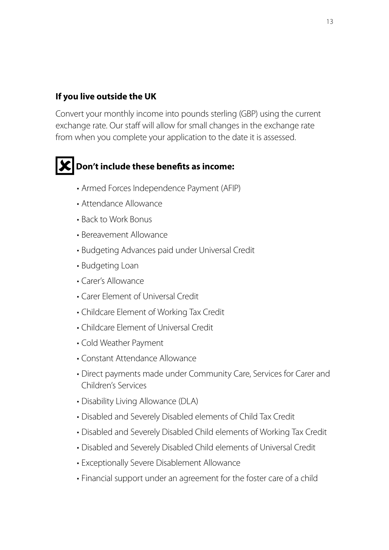#### **If you live outside the UK**

Convert your monthly income into pounds sterling (GBP) using the current exchange rate. Our staff will allow for small changes in the exchange rate from when you complete your application to the date it is assessed.

# **Don't include these benefits as income:**

- Armed Forces Independence Payment (AFIP)
- Attendance Allowance
- Back to Work Bonus
- Bereavement Allowance
- Budgeting Advances paid under Universal Credit
- Budgeting Loan
- Carer's Allowance
- Carer Element of Universal Credit
- Childcare Element of Working Tax Credit
- Childcare Element of Universal Credit
- Cold Weather Payment
- Constant Attendance Allowance
- Direct payments made under Community Care, Services for Carer and Children's Services
- Disability Living Allowance (DLA)
- Disabled and Severely Disabled elements of Child Tax Credit
- Disabled and Severely Disabled Child elements of Working Tax Credit
- Disabled and Severely Disabled Child elements of Universal Credit
- Exceptionally Severe Disablement Allowance
- Financial support under an agreement for the foster care of a child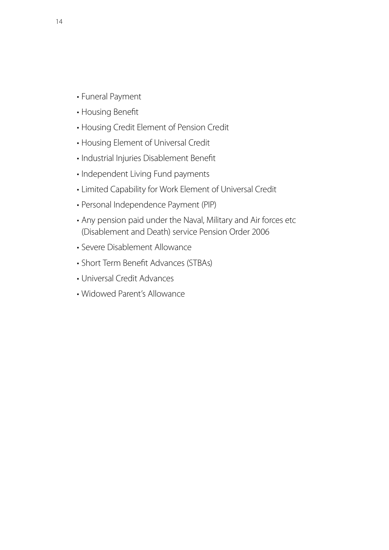- Funeral Payment
- Housing Benefit
- Housing Credit Element of Pension Credit
- Housing Element of Universal Credit
- Industrial Injuries Disablement Benefit
- Independent Living Fund payments
- Limited Capability for Work Element of Universal Credit
- Personal Independence Payment (PIP)
- Any pension paid under the Naval, Military and Air forces etc (Disablement and Death) service Pension Order 2006
- Severe Disablement Allowance
- Short Term Benefit Advances (STBAs)
- Universal Credit Advances
- Widowed Parent's Allowance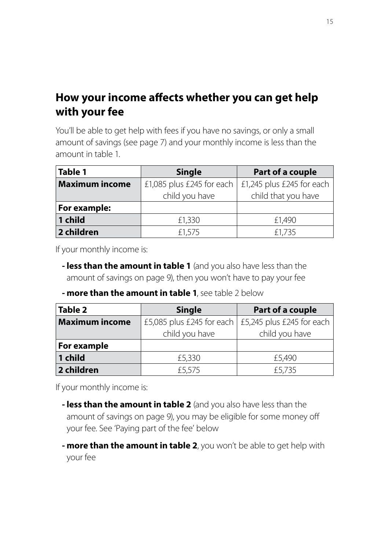# **How your income affects whether you can get help with your fee**

You'll be able to get help with fees if you have no savings, or only a small amount of savings (see page 7) and your monthly income is less than the amount in table 1.

| <b>Table 1</b>        | Part of a couple<br><b>Single</b> |                           |
|-----------------------|-----------------------------------|---------------------------|
| <b>Maximum income</b> | £1,085 plus £245 for each         | £1,245 plus £245 for each |
|                       | child you have                    | child that you have       |
| For example:          |                                   |                           |
| 1 child               | £1,330                            | £1,490                    |
| 2 children            | £1,575                            | £1,735                    |

If your monthly income is:

- **- less than the amount in table 1** (and you also have less than the amount of savings on page 9), then you won't have to pay your fee
- **- more than the amount in table 1**, see table 2 below

| Table 2               | <b>Single</b><br>Part of a couple |                                                             |
|-----------------------|-----------------------------------|-------------------------------------------------------------|
| <b>Maximum income</b> |                                   | £5,085 plus £245 for each $\vert$ £5,245 plus £245 for each |
|                       | child you have                    | child you have                                              |
| For example           |                                   |                                                             |
| 1 child               | £5,330                            | £5,490                                                      |
| 2 children            | £5,575                            | £5,735                                                      |

If your monthly income is:

- **- less than the amount in table 2** (and you also have less than the amount of savings on page 9), you may be eligible for some money off your fee. See 'Paying part of the fee' below
- **- more than the amount in table 2**, you won't be able to get help with your fee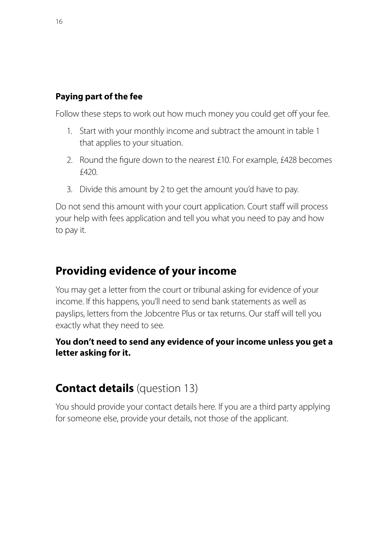#### **Paying part of the fee**

Follow these steps to work out how much money you could get off your fee.

- 1. Start with your monthly income and subtract the amount in table 1 that applies to your situation.
- 2. Round the figure down to the nearest £10. For example, £428 becomes £420.
- 3. Divide this amount by 2 to get the amount you'd have to pay.

Do not send this amount with your court application. Court staff will process your help with fees application and tell you what you need to pay and how to pay it.

### **Providing evidence of your income**

You may get a letter from the court or tribunal asking for evidence of your income. If this happens, you'll need to send bank statements as well as payslips, letters from the Jobcentre Plus or tax returns. Our staff will tell you exactly what they need to see.

#### **You don't need to send any evidence of your income unless you get a letter asking for it.**

# **Contact details** (question 13)

You should provide your contact details here. If you are a third party applying for someone else, provide your details, not those of the applicant.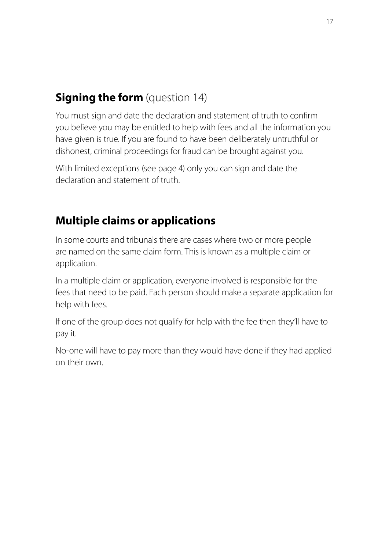# **Signing the form** (question 14)

You must sign and date the declaration and statement of truth to confirm you believe you may be entitled to help with fees and all the information you have given is true. If you are found to have been deliberately untruthful or dishonest, criminal proceedings for fraud can be brought against you.

With limited exceptions (see page 4) only you can sign and date the declaration and statement of truth.

# **Multiple claims or applications**

In some courts and tribunals there are cases where two or more people are named on the same claim form. This is known as a multiple claim or application.

In a multiple claim or application, everyone involved is responsible for the fees that need to be paid. Each person should make a separate application for help with fees.

If one of the group does not qualify for help with the fee then they'll have to pay it.

No-one will have to pay more than they would have done if they had applied on their own.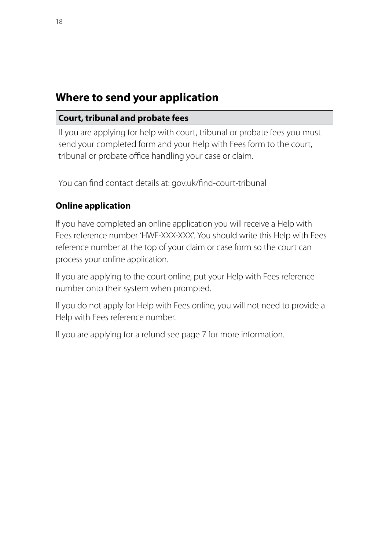# **Where to send your application**

#### **Court, tribunal and probate fees**

If you are applying for help with court, tribunal or probate fees you must send your completed form and your Help with Fees form to the court, tribunal or probate office handling your case or claim.

You can find contact details at: gov.uk/find-court-tribunal

#### **Online application**

If you have completed an online application you will receive a Help with Fees reference number 'HWF-XXX-XXX'. You should write this Help with Fees reference number at the top of your claim or case form so the court can process your online application.

If you are applying to the court online, put your Help with Fees reference number onto their system when prompted.

If you do not apply for Help with Fees online, you will not need to provide a Help with Fees reference number.

If you are applying for a refund see page 7 for more information.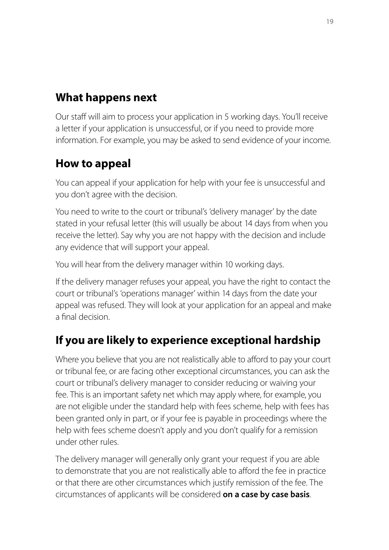# **What happens next**

Our staff will aim to process your application in 5 working days. You'll receive a letter if your application is unsuccessful, or if you need to provide more information. For example, you may be asked to send evidence of your income.

# **How to appeal**

You can appeal if your application for help with your fee is unsuccessful and you don't agree with the decision.

You need to write to the court or tribunal's 'delivery manager' by the date stated in your refusal letter (this will usually be about 14 days from when you receive the letter). Say why you are not happy with the decision and include any evidence that will support your appeal.

You will hear from the delivery manager within 10 working days.

If the delivery manager refuses your appeal, you have the right to contact the court or tribunal's 'operations manager' within 14 days from the date your appeal was refused. They will look at your application for an appeal and make a final decision.

# **If you are likely to experience exceptional hardship**

Where you believe that you are not realistically able to afford to pay your court or tribunal fee, or are facing other exceptional circumstances, you can ask the court or tribunal's delivery manager to consider reducing or waiving your fee. This is an important safety net which may apply where, for example, you are not eligible under the standard help with fees scheme, help with fees has been granted only in part, or if your fee is payable in proceedings where the help with fees scheme doesn't apply and you don't qualify for a remission under other rules.

The delivery manager will generally only grant your request if you are able to demonstrate that you are not realistically able to afford the fee in practice or that there are other circumstances which justify remission of the fee. The circumstances of applicants will be considered **on a case by case basis**.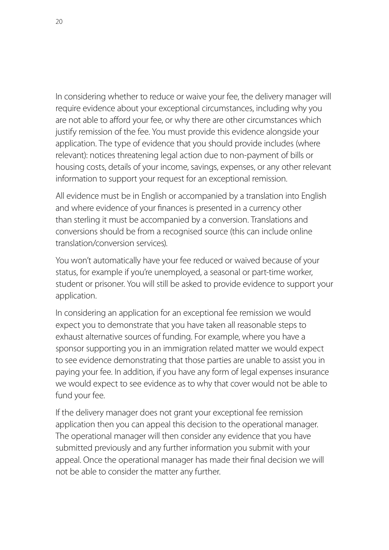In considering whether to reduce or waive your fee, the delivery manager will require evidence about your exceptional circumstances, including why you are not able to afford your fee, or why there are other circumstances which justify remission of the fee. You must provide this evidence alongside your application. The type of evidence that you should provide includes (where relevant): notices threatening legal action due to non-payment of bills or housing costs, details of your income, savings, expenses, or any other relevant information to support your request for an exceptional remission.

All evidence must be in English or accompanied by a translation into English and where evidence of your finances is presented in a currency other than sterling it must be accompanied by a conversion. Translations and conversions should be from a recognised source (this can include online translation/conversion services).

You won't automatically have your fee reduced or waived because of your status, for example if you're unemployed, a seasonal or part-time worker, student or prisoner. You will still be asked to provide evidence to support your application.

In considering an application for an exceptional fee remission we would expect you to demonstrate that you have taken all reasonable steps to exhaust alternative sources of funding. For example, where you have a sponsor supporting you in an immigration related matter we would expect to see evidence demonstrating that those parties are unable to assist you in paying your fee. In addition, if you have any form of legal expenses insurance we would expect to see evidence as to why that cover would not be able to fund your fee.

If the delivery manager does not grant your exceptional fee remission application then you can appeal this decision to the operational manager. The operational manager will then consider any evidence that you have submitted previously and any further information you submit with your appeal. Once the operational manager has made their final decision we will not be able to consider the matter any further.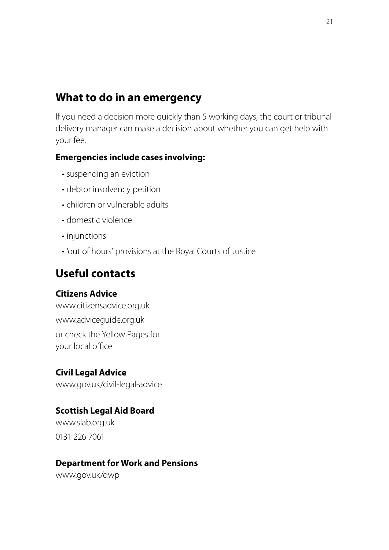# **What to do in an emergency**

If you need a decision more quickly than 5 working days, the court or tribunal delivery manager can make a decision about whether you can get help with your fee.

#### **Emergencies include cases involving:**

- suspending an eviction
- debtor insolvency petition
- children or vulnerable adults
- domestic violence
- injunctions
- 'out of hours' provisions at the Royal Courts of Justice

### **Useful contacts**

#### **Citizens Advice**

www.citizensadvice.org.uk www.adviceguide.org.uk or check the Yellow Pages for your local office

#### **Civil Legal Advice**

www.gov.uk/civil-legal-advice

#### **Scottish Legal Aid Board**

www.slab.org.uk 0131 226 7061

#### **Department for Work and Pensions**

www.gov.uk/dwp